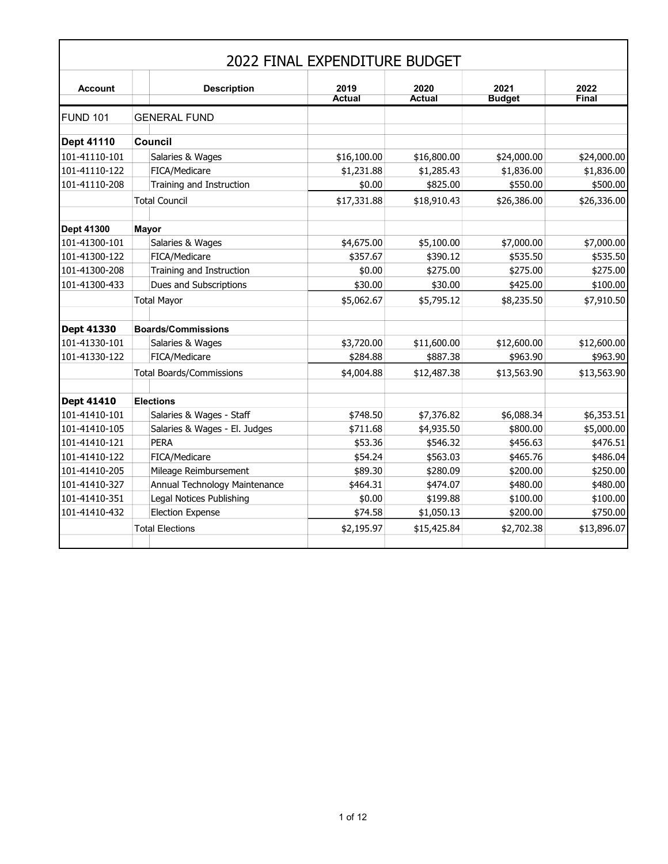|                   |                                 | 2022 FINAL EXPENDITURE BUDGET |                       |                       |                      |
|-------------------|---------------------------------|-------------------------------|-----------------------|-----------------------|----------------------|
| <b>Account</b>    | <b>Description</b>              | 2019<br><b>Actual</b>         | 2020<br><b>Actual</b> | 2021<br><b>Budget</b> | 2022<br><b>Final</b> |
| <b>FUND 101</b>   | <b>GENERAL FUND</b>             |                               |                       |                       |                      |
| <b>Dept 41110</b> | <b>Council</b>                  |                               |                       |                       |                      |
| 101-41110-101     | Salaries & Wages                | \$16,100.00                   | \$16,800.00           | \$24,000.00           | \$24,000.00          |
| 101-41110-122     | FICA/Medicare                   | \$1,231.88                    | \$1,285.43            | \$1,836.00            | \$1,836.00           |
| 101-41110-208     | Training and Instruction        | \$0.00                        | \$825.00              | \$550.00              | \$500.00             |
|                   | <b>Total Council</b>            | \$17,331.88                   | \$18,910.43           | \$26,386.00           | \$26,336.00          |
| <b>Dept 41300</b> | <b>Mayor</b>                    |                               |                       |                       |                      |
| 101-41300-101     | Salaries & Wages                | \$4,675.00                    | \$5,100.00            | \$7,000.00            | \$7,000.00           |
| 101-41300-122     | FICA/Medicare                   | \$357.67                      | \$390.12              | \$535.50              | \$535.50             |
| 101-41300-208     | Training and Instruction        | \$0.00                        | \$275.00              | \$275.00              | \$275.00             |
| 101-41300-433     | Dues and Subscriptions          | \$30.00                       | \$30.00               | \$425.00              | \$100.00             |
|                   | <b>Total Mayor</b>              | \$5,062.67                    | \$5,795.12            | \$8,235.50            | \$7,910.50           |
| <b>Dept 41330</b> | <b>Boards/Commissions</b>       |                               |                       |                       |                      |
| 101-41330-101     | Salaries & Wages                | \$3,720.00                    | \$11,600.00           | \$12,600.00           | \$12,600.00          |
| 101-41330-122     | FICA/Medicare                   | \$284.88                      | \$887.38              | \$963.90              | \$963.90             |
|                   | <b>Total Boards/Commissions</b> | \$4,004.88                    | \$12,487.38           | \$13,563.90           | \$13,563.90          |
| <b>Dept 41410</b> | <b>Elections</b>                |                               |                       |                       |                      |
| 101-41410-101     | Salaries & Wages - Staff        | \$748.50                      | \$7,376.82            | \$6,088.34            | \$6,353.51           |
| 101-41410-105     | Salaries & Wages - El. Judges   | \$711.68                      | \$4,935.50            | \$800.00              | \$5,000.00           |
| 101-41410-121     | <b>PERA</b>                     | \$53.36                       | \$546.32              | \$456.63              | \$476.51             |
| 101-41410-122     | FICA/Medicare                   | \$54.24                       | \$563.03              | \$465.76              | \$486.04             |
| 101-41410-205     | Mileage Reimbursement           | \$89.30                       | \$280.09              | \$200.00              | \$250.00             |
| 101-41410-327     | Annual Technology Maintenance   | \$464.31                      | \$474.07              | \$480.00              | \$480.00             |
| 101-41410-351     | Legal Notices Publishing        | \$0.00                        | \$199.88              | \$100.00              | \$100.00             |
| 101-41410-432     | <b>Election Expense</b>         | \$74.58                       | \$1,050.13            | \$200.00              | \$750.00             |
|                   | <b>Total Elections</b>          | \$2,195.97                    | \$15,425.84           | \$2,702.38            | \$13,896.07          |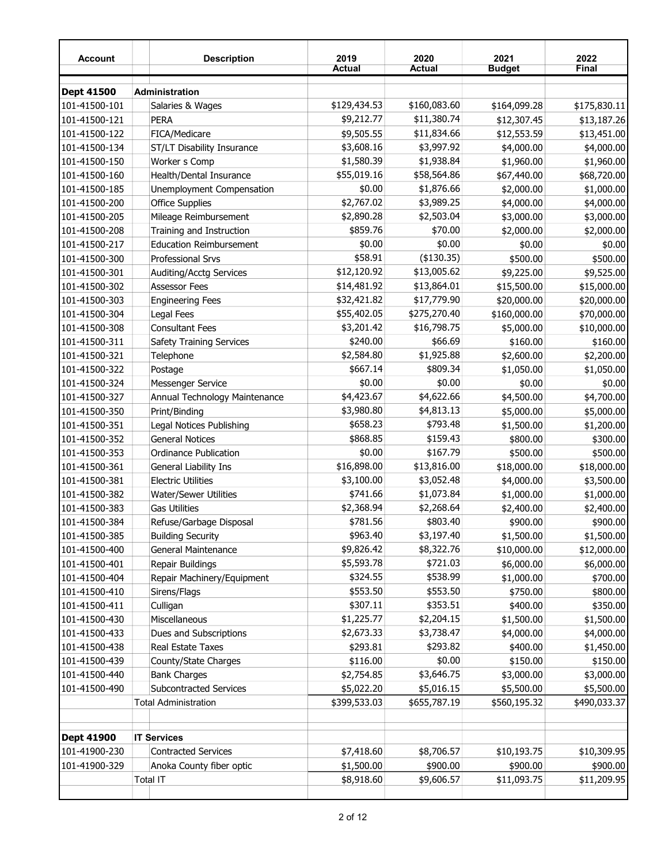| <b>Account</b>                 | <b>Description</b>                              | 2019<br><b>Actual</b> | 2020<br><b>Actual</b> | 2021<br><b>Budget</b> | 2022<br>Final |
|--------------------------------|-------------------------------------------------|-----------------------|-----------------------|-----------------------|---------------|
| <b>Dept 41500</b>              | Administration                                  |                       |                       |                       |               |
| 101-41500-101                  | Salaries & Wages                                | \$129,434.53          | \$160,083.60          | \$164,099.28          | \$175,830.11  |
| 101-41500-121                  | <b>PERA</b>                                     | \$9,212.77            | \$11,380.74           | \$12,307.45           | \$13,187.26   |
| 101-41500-122                  | FICA/Medicare                                   | \$9,505.55            | \$11,834.66           | \$12,553.59           | \$13,451.00   |
| 101-41500-134                  | ST/LT Disability Insurance                      | \$3,608.16            | \$3,997.92            | \$4,000.00            | \$4,000.00    |
| 101-41500-150                  | Worker s Comp                                   | \$1,580.39            | \$1,938.84            | \$1,960.00            | \$1,960.00    |
| 101-41500-160                  | Health/Dental Insurance                         | \$55,019.16           | \$58,564.86           | \$67,440.00           | \$68,720.00   |
| 101-41500-185                  | Unemployment Compensation                       | \$0.00                | \$1,876.66            | \$2,000.00            | \$1,000.00    |
| 101-41500-200                  | <b>Office Supplies</b>                          | \$2,767.02            | \$3,989.25            | \$4,000.00            | \$4,000.00    |
| 101-41500-205                  | Mileage Reimbursement                           | \$2,890.28            | \$2,503.04            | \$3,000.00            | \$3,000.00    |
| 101-41500-208                  | Training and Instruction                        | \$859.76              | \$70.00               | \$2,000.00            | \$2,000.00    |
| 101-41500-217                  | <b>Education Reimbursement</b>                  | \$0.00                | \$0.00                |                       | \$0.00        |
|                                | <b>Professional Srvs</b>                        | \$58.91               | (\$130.35)            | \$0.00                |               |
| 101-41500-300<br>101-41500-301 |                                                 | \$12,120.92           | \$13,005.62           | \$500.00              | \$500.00      |
|                                | Auditing/Acctg Services<br><b>Assessor Fees</b> | \$14,481.92           | \$13,864.01           | \$9,225.00            | \$9,525.00    |
| 101-41500-302                  |                                                 |                       |                       | \$15,500.00           | \$15,000.00   |
| 101-41500-303                  | <b>Engineering Fees</b>                         | \$32,421.82           | \$17,779.90           | \$20,000.00           | \$20,000.00   |
| 101-41500-304                  | Legal Fees                                      | \$55,402.05           | \$275,270.40          | \$160,000.00          | \$70,000.00   |
| 101-41500-308                  | <b>Consultant Fees</b>                          | \$3,201.42            | \$16,798.75           | \$5,000.00            | \$10,000.00   |
| 101-41500-311                  | <b>Safety Training Services</b>                 | \$240.00              | \$66.69               | \$160.00              | \$160.00      |
| 101-41500-321                  | Telephone                                       | \$2,584.80            | \$1,925.88            | \$2,600.00            | \$2,200.00    |
| 101-41500-322                  | Postage                                         | \$667.14              | \$809.34              | \$1,050.00            | \$1,050.00    |
| 101-41500-324                  | Messenger Service                               | \$0.00                | \$0.00                | \$0.00                | \$0.00        |
| 101-41500-327                  | Annual Technology Maintenance                   | \$4,423.67            | \$4,622.66            | \$4,500.00            | \$4,700.00    |
| 101-41500-350                  | Print/Binding                                   | \$3,980.80            | \$4,813.13            | \$5,000.00            | \$5,000.00    |
| 101-41500-351                  | Legal Notices Publishing                        | \$658.23              | \$793.48              | \$1,500.00            | \$1,200.00    |
| 101-41500-352                  | <b>General Notices</b>                          | \$868.85              | \$159.43              | \$800.00              | \$300.00      |
| 101-41500-353                  | <b>Ordinance Publication</b>                    | \$0.00                | \$167.79              | \$500.00              | \$500.00      |
| 101-41500-361                  | General Liability Ins                           | \$16,898.00           | \$13,816.00           | \$18,000.00           | \$18,000.00   |
| 101-41500-381                  | <b>Electric Utilities</b>                       | \$3,100.00            | \$3,052.48            | \$4,000.00            | \$3,500.00    |
| 101-41500-382                  | Water/Sewer Utilities                           | \$741.66              | \$1,073.84            | \$1,000.00            | \$1,000.00    |
| 101-41500-383                  | <b>Gas Utilities</b>                            | \$2,368.94            | \$2,268.64            | \$2,400.00            | \$2,400.00    |
| 101-41500-384                  | Refuse/Garbage Disposal                         | \$781.56              | \$803.40              | \$900.00              | \$900.00      |
| 101-41500-385                  | <b>Building Security</b>                        | \$963.40              | \$3,197.40            | \$1,500.00            | \$1,500.00    |
| 101-41500-400                  | General Maintenance                             | \$9,826.42            | \$8,322.76            | \$10,000.00           | \$12,000.00   |
| 101-41500-401                  | Repair Buildings                                | \$5,593.78            | \$721.03              | \$6,000.00            | \$6,000.00    |
| 101-41500-404                  | Repair Machinery/Equipment                      | \$324.55              | \$538.99              | \$1,000.00            | \$700.00      |
| 101-41500-410                  | Sirens/Flags                                    | \$553.50              | \$553.50              | \$750.00              | \$800.00      |
| 101-41500-411                  | Culligan                                        | \$307.11              | \$353.51              | \$400.00              | \$350.00      |
| 101-41500-430                  | Miscellaneous                                   | \$1,225.77            | \$2,204.15            | \$1,500.00            | \$1,500.00    |
| 101-41500-433                  | Dues and Subscriptions                          | \$2,673.33            | \$3,738.47            | \$4,000.00            | \$4,000.00    |
| 101-41500-438                  | Real Estate Taxes                               | \$293.81              | \$293.82              | \$400.00              | \$1,450.00    |
| 101-41500-439                  | County/State Charges                            | \$116.00              | \$0.00                | \$150.00              | \$150.00      |
| 101-41500-440                  | <b>Bank Charges</b>                             | \$2,754.85            | \$3,646.75            | \$3,000.00            | \$3,000.00    |
| 101-41500-490                  | Subcontracted Services                          | \$5,022.20            | \$5,016.15            | \$5,500.00            | \$5,500.00    |
|                                | <b>Total Administration</b>                     | \$399,533.03          | \$655,787.19          | \$560,195.32          | \$490,033.37  |
| <b>Dept 41900</b>              | <b>IT Services</b>                              |                       |                       |                       |               |
| 101-41900-230                  | <b>Contracted Services</b>                      | \$7,418.60            | \$8,706.57            | \$10,193.75           | \$10,309.95   |
| 101-41900-329                  | Anoka County fiber optic                        | \$1,500.00            | \$900.00              | \$900.00              | \$900.00      |
|                                | Total IT                                        | \$8,918.60            | \$9,606.57            | \$11,093.75           | \$11,209.95   |
|                                |                                                 |                       |                       |                       |               |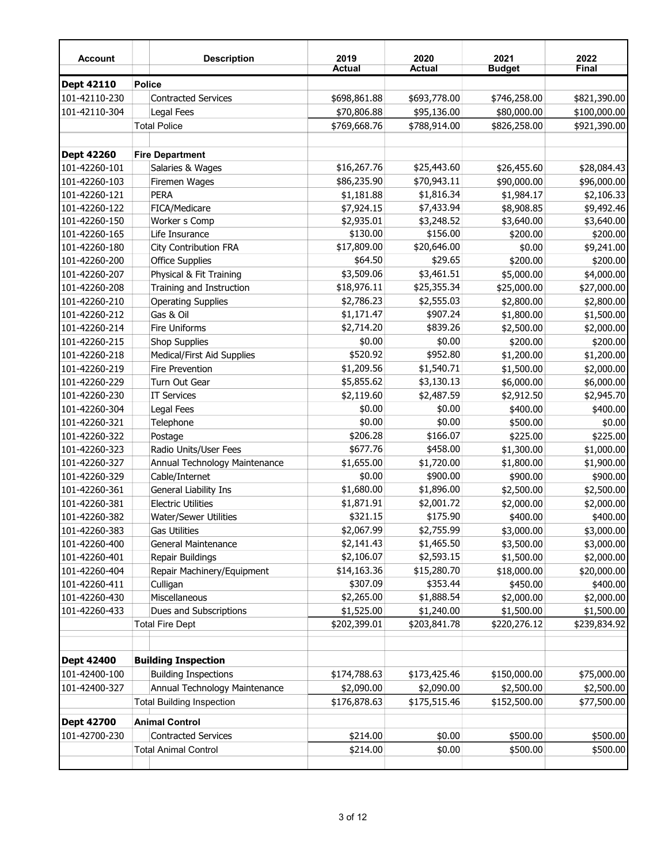| <b>Account</b>    | <b>Description</b>               | 2019<br><b>Actual</b> | 2020<br><b>Actual</b> | 2021<br><b>Budget</b> | 2022<br><b>Final</b> |
|-------------------|----------------------------------|-----------------------|-----------------------|-----------------------|----------------------|
| Dept 42110        | <b>Police</b>                    |                       |                       |                       |                      |
| 101-42110-230     | <b>Contracted Services</b>       | \$698,861.88          | \$693,778.00          | \$746,258.00          | \$821,390.00         |
| 101-42110-304     | Legal Fees                       | \$70,806.88           | \$95,136.00           | \$80,000.00           | \$100,000.00         |
|                   | <b>Total Police</b>              | \$769,668.76          | \$788,914.00          | \$826,258.00          | \$921,390.00         |
|                   |                                  |                       |                       |                       |                      |
| Dept 42260        | <b>Fire Department</b>           |                       |                       |                       |                      |
| 101-42260-101     | Salaries & Wages                 | \$16,267.76           | \$25,443.60           | \$26,455.60           | \$28,084.43          |
| 101-42260-103     | Firemen Wages                    | \$86,235.90           | \$70,943.11           | \$90,000.00           | \$96,000.00          |
| 101-42260-121     | PERA                             | \$1,181.88            | \$1,816.34            | \$1,984.17            | \$2,106.33           |
| 101-42260-122     | FICA/Medicare                    | \$7,924.15            | \$7,433.94            | \$8,908.85            | \$9,492.46           |
| 101-42260-150     | Worker s Comp                    | \$2,935.01            | \$3,248.52            | \$3,640.00            | \$3,640.00           |
| 101-42260-165     | Life Insurance                   | \$130.00              | \$156.00              | \$200.00              | \$200.00             |
| 101-42260-180     | <b>City Contribution FRA</b>     | \$17,809.00           | \$20,646.00           | \$0.00                | \$9,241.00           |
| 101-42260-200     | <b>Office Supplies</b>           | \$64.50               | \$29.65               | \$200.00              | \$200.00             |
| 101-42260-207     | Physical & Fit Training          | \$3,509.06            | \$3,461.51            | \$5,000.00            | \$4,000.00           |
| 101-42260-208     | Training and Instruction         | \$18,976.11           | \$25,355.34           | \$25,000.00           | \$27,000.00          |
| 101-42260-210     | <b>Operating Supplies</b>        | \$2,786.23            | \$2,555.03            | \$2,800.00            | \$2,800.00           |
| 101-42260-212     | Gas & Oil                        | \$1,171.47            | \$907.24              | \$1,800.00            | \$1,500.00           |
| 101-42260-214     | Fire Uniforms                    | \$2,714.20            | \$839.26              | \$2,500.00            | \$2,000.00           |
| 101-42260-215     | <b>Shop Supplies</b>             | \$0.00                | \$0.00                | \$200.00              | \$200.00             |
| 101-42260-218     | Medical/First Aid Supplies       | \$520.92              | \$952.80              | \$1,200.00            | \$1,200.00           |
| 101-42260-219     | <b>Fire Prevention</b>           | \$1,209.56            | \$1,540.71            | \$1,500.00            | \$2,000.00           |
| 101-42260-229     | Turn Out Gear                    | \$5,855.62            | \$3,130.13            | \$6,000.00            | \$6,000.00           |
| 101-42260-230     | <b>IT Services</b>               | \$2,119.60            | \$2,487.59            | \$2,912.50            | \$2,945.70           |
| 101-42260-304     | Legal Fees                       | \$0.00                | \$0.00                | \$400.00              | \$400.00             |
| 101-42260-321     | Telephone                        | \$0.00                | \$0.00                | \$500.00              | \$0.00               |
| 101-42260-322     | Postage                          | \$206.28              | \$166.07              | \$225.00              | \$225.00             |
| 101-42260-323     | Radio Units/User Fees            | \$677.76              | \$458.00              | \$1,300.00            | \$1,000.00           |
| 101-42260-327     | Annual Technology Maintenance    | \$1,655.00            | \$1,720.00            | \$1,800.00            | \$1,900.00           |
| 101-42260-329     | Cable/Internet                   | \$0.00                | \$900.00              | \$900.00              | \$900.00             |
| 101-42260-361     | General Liability Ins            | \$1,680.00            | \$1,896.00            | \$2,500.00            | \$2,500.00           |
| 101-42260-381     | <b>Electric Utilities</b>        | \$1,871.91            | \$2,001.72            | \$2,000.00            | \$2,000.00           |
| 101-42260-382     | Water/Sewer Utilities            | \$321.15              | \$175.90              | \$400.00              | \$400.00             |
| 101-42260-383     | <b>Gas Utilities</b>             | \$2,067.99            | \$2,755.99            | \$3,000.00            | \$3,000.00           |
| 101-42260-400     | General Maintenance              | \$2,141.43            | \$1,465.50            | \$3,500.00            | \$3,000.00           |
| 101-42260-401     | Repair Buildings                 | \$2,106.07            | \$2,593.15            | \$1,500.00            | \$2,000.00           |
| 101-42260-404     | Repair Machinery/Equipment       | \$14,163.36           | \$15,280.70           | \$18,000.00           | \$20,000.00          |
| 101-42260-411     | Culligan                         | \$307.09              | \$353.44              | \$450.00              | \$400.00             |
| 101-42260-430     | Miscellaneous                    | \$2,265.00            | \$1,888.54            | \$2,000.00            | \$2,000.00           |
| 101-42260-433     | Dues and Subscriptions           | \$1,525.00            | \$1,240.00            | \$1,500.00            | \$1,500.00           |
|                   | <b>Total Fire Dept</b>           | \$202,399.01          | \$203,841.78          | \$220,276.12          | \$239,834.92         |
| <b>Dept 42400</b> | <b>Building Inspection</b>       |                       |                       |                       |                      |
| 101-42400-100     | <b>Building Inspections</b>      | \$174,788.63          | \$173,425.46          | \$150,000.00          | \$75,000.00          |
| 101-42400-327     | Annual Technology Maintenance    | \$2,090.00            | \$2,090.00            | \$2,500.00            | \$2,500.00           |
|                   | <b>Total Building Inspection</b> | \$176,878.63          | \$175,515.46          | \$152,500.00          | \$77,500.00          |
|                   |                                  |                       |                       |                       |                      |
| <b>Dept 42700</b> | <b>Animal Control</b>            |                       |                       |                       |                      |
| 101-42700-230     | <b>Contracted Services</b>       | \$214.00              | \$0.00                | \$500.00              | \$500.00             |
|                   | <b>Total Animal Control</b>      | \$214.00              | \$0.00                | \$500.00              | \$500.00             |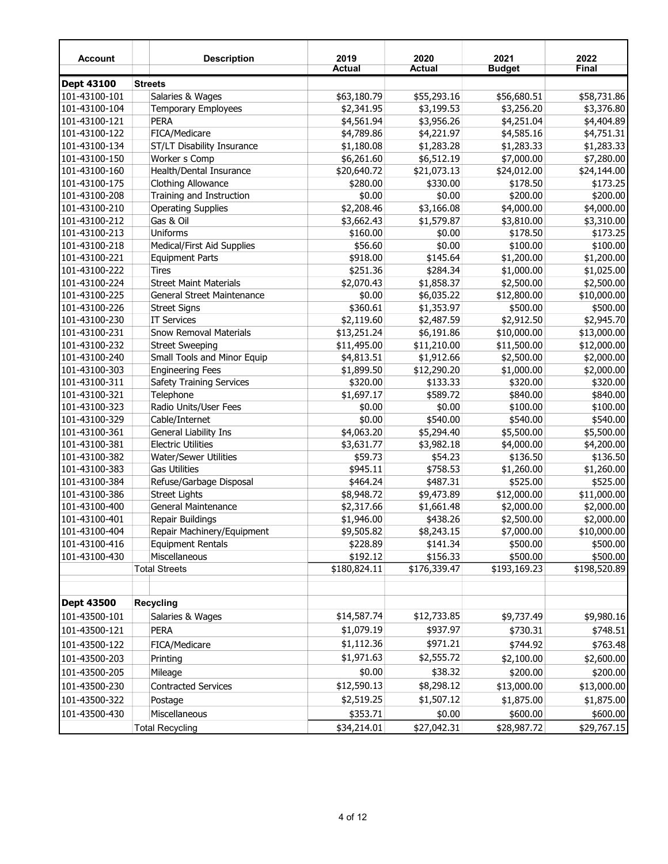| <b>Account</b>    | <b>Description</b>              | 2019<br><b>Actual</b> | 2020<br><b>Actual</b> | 2021<br><b>Budget</b> | 2022<br><b>Final</b>     |
|-------------------|---------------------------------|-----------------------|-----------------------|-----------------------|--------------------------|
| Dept 43100        | <b>Streets</b>                  |                       |                       |                       |                          |
| 101-43100-101     | Salaries & Wages                | \$63,180.79           | \$55,293.16           | \$56,680.51           | \$58,731.86              |
| 101-43100-104     | <b>Temporary Employees</b>      | \$2,341.95            | \$3,199.53            | \$3,256.20            | \$3,376.80               |
| 101-43100-121     | <b>PERA</b>                     | \$4,561.94            | \$3,956.26            | \$4,251.04            | \$4,404.89               |
| 101-43100-122     | FICA/Medicare                   | \$4,789.86            | \$4,221.97            | \$4,585.16            | \$4,751.31               |
| 101-43100-134     | ST/LT Disability Insurance      | \$1,180.08            | \$1,283.28            | \$1,283.33            | \$1,283.33               |
| 101-43100-150     | Worker s Comp                   | \$6,261.60            | \$6,512.19            | \$7,000.00            | \$7,280.00               |
| 101-43100-160     | Health/Dental Insurance         | \$20,640.72           | \$21,073.13           | \$24,012.00           | \$24,144.00              |
| 101-43100-175     | Clothing Allowance              | \$280.00              | \$330.00              | \$178.50              | \$173.25                 |
| 101-43100-208     | Training and Instruction        | \$0.00                | \$0.00                | \$200.00              | \$200.00                 |
| 101-43100-210     | <b>Operating Supplies</b>       | \$2,208.46            | \$3,166.08            | \$4,000.00            | \$4,000.00               |
| 101-43100-212     | Gas & Oil                       | \$3,662.43            | \$1,579.87            | \$3,810.00            | \$3,310.00               |
| 101-43100-213     | <b>Uniforms</b>                 | \$160.00              | \$0.00                | \$178.50              | \$173.25                 |
| 101-43100-218     | Medical/First Aid Supplies      | \$56.60               | \$0.00                | \$100.00              | \$100.00                 |
| 101-43100-221     | <b>Equipment Parts</b>          | \$918.00              | \$145.64              | \$1,200.00            | \$1,200.00               |
| 101-43100-222     | <b>Tires</b>                    | \$251.36              | \$284.34              | \$1,000.00            | \$1,025.00               |
| 101-43100-224     | <b>Street Maint Materials</b>   | \$2,070.43            | \$1,858.37            | \$2,500.00            | \$2,500.00               |
| 101-43100-225     | General Street Maintenance      | \$0.00                | \$6,035.22            | \$12,800.00           | \$10,000.00              |
| 101-43100-226     | <b>Street Signs</b>             | \$360.61              | \$1,353.97            | \$500.00              | \$500.00                 |
| 101-43100-230     | <b>IT Services</b>              | \$2,119.60            | \$2,487.59            | \$2,912.50            | \$2,945.70               |
| 101-43100-231     | <b>Snow Removal Materials</b>   | \$13,251.24           | \$6,191.86            | \$10,000.00           | \$13,000.00              |
| 101-43100-232     | <b>Street Sweeping</b>          | \$11,495.00           | \$11,210.00           | \$11,500.00           | \$12,000.00              |
| 101-43100-240     | Small Tools and Minor Equip     | \$4,813.51            | \$1,912.66            | \$2,500.00            | \$2,000.00               |
| 101-43100-303     | <b>Engineering Fees</b>         | \$1,899.50            | \$12,290.20           | \$1,000.00            | \$2,000.00               |
| 101-43100-311     | <b>Safety Training Services</b> | \$320.00              | \$133.33              | \$320.00              | \$320.00                 |
| 101-43100-321     | Telephone                       | \$1,697.17            | \$589.72              | \$840.00              | \$840.00                 |
| 101-43100-323     | Radio Units/User Fees           | \$0.00                | \$0.00                | \$100.00              | \$100.00                 |
| 101-43100-329     | Cable/Internet                  | \$0.00                | \$540.00              | \$540.00              | \$540.00                 |
| 101-43100-361     | General Liability Ins           | \$4,063.20            | \$5,294.40            | \$5,500.00            | \$5,500.00               |
| 101-43100-381     | <b>Electric Utilities</b>       | \$3,631.77            | \$3,982.18            | \$4,000.00            | \$4,200.00               |
| 101-43100-382     | Water/Sewer Utilities           | \$59.73               | \$54.23               | \$136.50              | \$136.50                 |
| 101-43100-383     | <b>Gas Utilities</b>            | \$945.11              | \$758.53              | \$1,260.00            | \$1,260.00               |
| 101-43100-384     | Refuse/Garbage Disposal         | \$464.24              | \$487.31              | \$525.00              | \$525.00                 |
| 101-43100-386     | <b>Street Lights</b>            | \$8,948.72            | \$9,473.89            | \$12,000.00           | \$11,000.00              |
| 101-43100-400     | General Maintenance             | \$2,317.66            | \$1,661.48            | \$2,000.00            | \$2,000.00               |
| 101-43100-401     | Repair Buildings                | \$1,946.00            | \$438.26              | \$2,500.00            | \$2,000.00               |
| 101-43100-404     | Repair Machinery/Equipment      | \$9,505.82            | \$8,243.15            | \$7,000.00            | \$10,000.00              |
| 101-43100-416     | <b>Equipment Rentals</b>        | \$228.89              | \$141.34              | \$500.00              | \$500.00                 |
| 101-43100-430     | Miscellaneous                   | \$192.12              | \$156.33              | \$500.00              | \$500.00                 |
|                   | <b>Total Streets</b>            | \$180,824.11          | \$176,339.47          | \$193,169.23          | $\overline{$198,520.89}$ |
|                   |                                 |                       |                       |                       |                          |
| <b>Dept 43500</b> | <b>Recycling</b>                |                       |                       |                       |                          |
| 101-43500-101     | Salaries & Wages                | \$14,587.74           | \$12,733.85           | \$9,737.49            | \$9,980.16               |
|                   |                                 | \$1,079.19            | \$937.97              |                       |                          |
| 101-43500-121     | PERA                            |                       |                       | \$730.31              | \$748.51                 |
| 101-43500-122     | FICA/Medicare                   | \$1,112.36            | \$971.21              | \$744.92              | \$763.48                 |
| 101-43500-203     | Printing                        | \$1,971.63            | \$2,555.72            | \$2,100.00            | \$2,600.00               |
| 101-43500-205     | Mileage                         | \$0.00                | \$38.32               | \$200.00              | \$200.00                 |
| 101-43500-230     | <b>Contracted Services</b>      | \$12,590.13           | \$8,298.12            | \$13,000.00           | \$13,000.00              |
| 101-43500-322     | Postage                         | \$2,519.25            | \$1,507.12            | \$1,875.00            | \$1,875.00               |
| 101-43500-430     | Miscellaneous                   | \$353.71              | \$0.00                | \$600.00              | \$600.00                 |
|                   | <b>Total Recycling</b>          | \$34,214.01           | \$27,042.31           | \$28,987.72           | \$29,767.15              |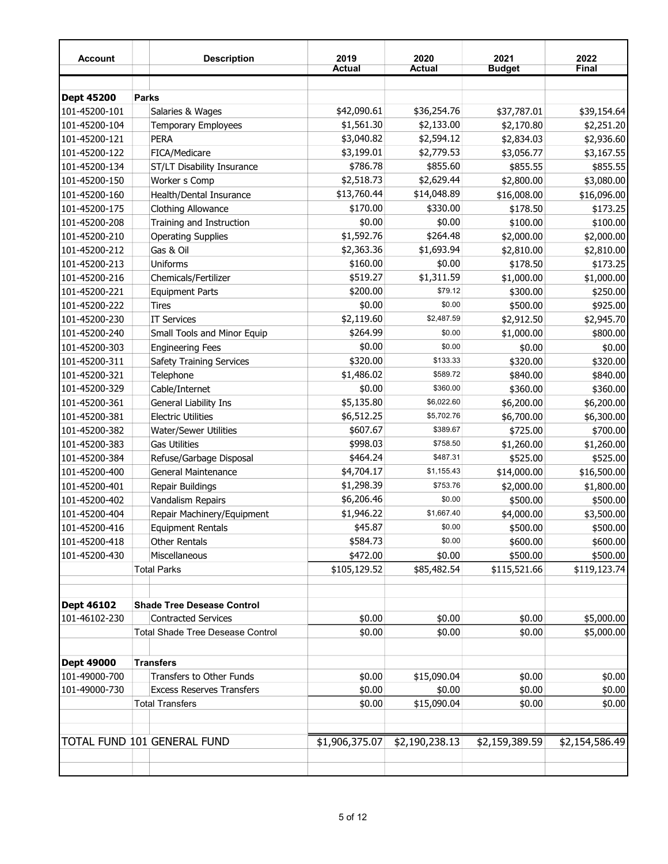| Account           | <b>Description</b>                      | 2019<br>Actual | 2020<br><b>Actual</b> | 2021<br><b>Budget</b> | 2022<br><b>Final</b> |
|-------------------|-----------------------------------------|----------------|-----------------------|-----------------------|----------------------|
|                   |                                         |                |                       |                       |                      |
| <b>Dept 45200</b> | <b>Parks</b>                            |                |                       |                       |                      |
| 101-45200-101     | Salaries & Wages                        | \$42,090.61    | \$36,254.76           | \$37,787.01           | \$39,154.64          |
| 101-45200-104     | <b>Temporary Employees</b>              | \$1,561.30     | \$2,133.00            | \$2,170.80            | \$2,251.20           |
| 101-45200-121     | PERA                                    | \$3,040.82     | \$2,594.12            | \$2,834.03            | \$2,936.60           |
| 101-45200-122     | FICA/Medicare                           | \$3,199.01     | \$2,779.53            | \$3,056.77            | \$3,167.55           |
| 101-45200-134     | ST/LT Disability Insurance              | \$786.78       | \$855.60              | \$855.55              | \$855.55             |
| 101-45200-150     | Worker s Comp                           | \$2,518.73     | \$2,629.44            | \$2,800.00            | \$3,080.00           |
| 101-45200-160     | Health/Dental Insurance                 | \$13,760.44    | \$14,048.89           | \$16,008.00           | \$16,096.00          |
| 101-45200-175     | <b>Clothing Allowance</b>               | \$170.00       | \$330.00              | \$178.50              | \$173.25             |
| 101-45200-208     | Training and Instruction                | \$0.00         | \$0.00                | \$100.00              | \$100.00             |
| 101-45200-210     | <b>Operating Supplies</b>               | \$1,592.76     | \$264.48              | \$2,000.00            | \$2,000.00           |
| 101-45200-212     | Gas & Oil                               | \$2,363.36     | \$1,693.94            | \$2,810.00            | \$2,810.00           |
| 101-45200-213     | Uniforms                                | \$160.00       | \$0.00                | \$178.50              | \$173.25             |
| 101-45200-216     | Chemicals/Fertilizer                    | \$519.27       | \$1,311.59            | \$1,000.00            | \$1,000.00           |
| 101-45200-221     | <b>Equipment Parts</b>                  | \$200.00       | \$79.12               | \$300.00              | \$250.00             |
| 101-45200-222     | <b>Tires</b>                            | \$0.00         | \$0.00                | \$500.00              | \$925.00             |
| 101-45200-230     | <b>IT Services</b>                      | \$2,119.60     | \$2,487.59            | \$2,912.50            | \$2,945.70           |
| 101-45200-240     | Small Tools and Minor Equip             | \$264.99       | \$0.00                | \$1,000.00            | \$800.00             |
| 101-45200-303     | <b>Engineering Fees</b>                 | \$0.00         | \$0.00                | \$0.00                | \$0.00               |
| 101-45200-311     | Safety Training Services                | \$320.00       | \$133.33              | \$320.00              | \$320.00             |
| 101-45200-321     | Telephone                               | \$1,486.02     | \$589.72              | \$840.00              | \$840.00             |
| 101-45200-329     | Cable/Internet                          | \$0.00         | \$360.00              | \$360.00              | \$360.00             |
| 101-45200-361     | General Liability Ins                   | \$5,135.80     | \$6,022.60            | \$6,200.00            | \$6,200.00           |
| 101-45200-381     | <b>Electric Utilities</b>               | \$6,512.25     | \$5,702.76            | \$6,700.00            | \$6,300.00           |
| 101-45200-382     | Water/Sewer Utilities                   | \$607.67       | \$389.67              | \$725.00              | \$700.00             |
| 101-45200-383     | <b>Gas Utilities</b>                    | \$998.03       | \$758.50              | \$1,260.00            | \$1,260.00           |
| 101-45200-384     | Refuse/Garbage Disposal                 | \$464.24       | \$487.31              | \$525.00              | \$525.00             |
| 101-45200-400     | General Maintenance                     | \$4,704.17     | \$1,155.43            | \$14,000.00           | \$16,500.00          |
| 101-45200-401     | Repair Buildings                        | \$1,298.39     | \$753.76              | \$2,000.00            | \$1,800.00           |
| 101-45200-402     | Vandalism Repairs                       | \$6,206.46     | \$0.00                | \$500.00              | \$500.00             |
| 101-45200-404     | Repair Machinery/Equipment              | \$1,946.22     | \$1,667.40            | \$4,000.00            | \$3,500.00           |
| 101-45200-416     | <b>Equipment Rentals</b>                | \$45.87        | \$0.00                | \$500.00              | \$500.00             |
| 101-45200-418     | <b>Other Rentals</b>                    | \$584.73       | \$0.00                | \$600.00              | \$600.00             |
| 101-45200-430     | Miscellaneous                           | \$472.00       | \$0.00                | \$500.00              | \$500.00             |
|                   | <b>Total Parks</b>                      | \$105,129.52   | \$85,482.54           | \$115,521.66          | \$119,123.74         |
| Dept 46102        | <b>Shade Tree Desease Control</b>       |                |                       |                       |                      |
| 101-46102-230     | <b>Contracted Services</b>              | \$0.00         | \$0.00                | \$0.00                | \$5,000.00           |
|                   | <b>Total Shade Tree Desease Control</b> | \$0.00         | \$0.00                | \$0.00                | \$5,000.00           |
| Dept 49000        | <b>Transfers</b>                        |                |                       |                       |                      |
| 101-49000-700     | Transfers to Other Funds                | \$0.00         | \$15,090.04           | \$0.00                | \$0.00               |
| 101-49000-730     | <b>Excess Reserves Transfers</b>        | \$0.00         | \$0.00                | \$0.00                | \$0.00               |
|                   | <b>Total Transfers</b>                  | \$0.00         | \$15,090.04           | \$0.00                | \$0.00               |
|                   | TOTAL FUND 101 GENERAL FUND             | \$1,906,375.07 | \$2,190,238.13        | \$2,159,389.59        | \$2,154,586.49       |
|                   |                                         |                |                       |                       |                      |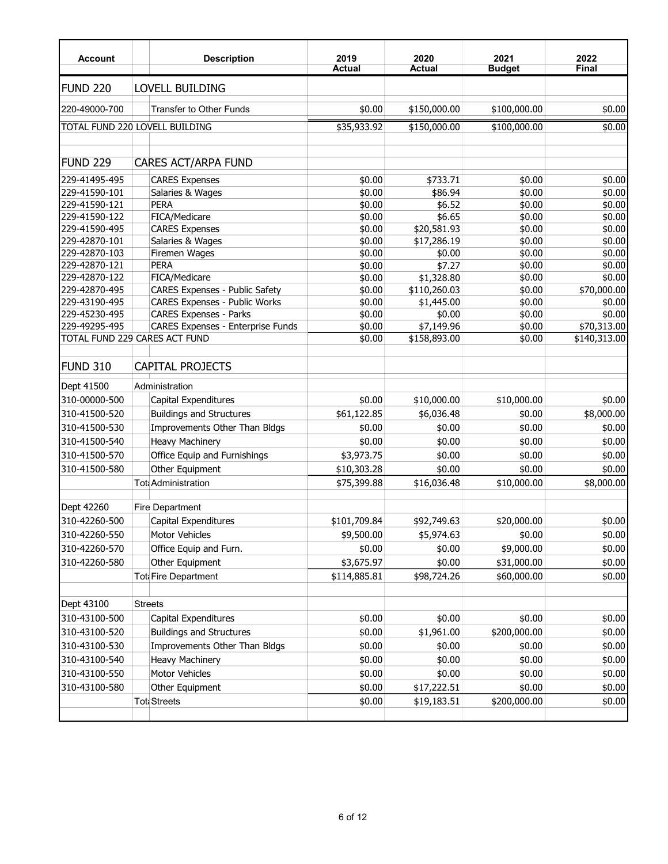| <b>Account</b>                 | <b>Description</b>                | 2019<br><b>Actual</b> | 2020<br>Actual | 2021<br><b>Budget</b> | 2022<br><b>Final</b> |
|--------------------------------|-----------------------------------|-----------------------|----------------|-----------------------|----------------------|
| FUND <sub>220</sub>            | LOVELL BUILDING                   |                       |                |                       |                      |
| 220-49000-700                  | <b>Transfer to Other Funds</b>    | \$0.00                | \$150,000.00   | \$100,000.00          | \$0.00               |
| TOTAL FUND 220 LOVELL BUILDING |                                   | \$35,933.92           | \$150,000.00   | \$100,000.00          | \$0.00               |
| <b>FUND 229</b>                | CARES ACT/ARPA FUND               |                       |                |                       |                      |
| 229-41495-495                  | <b>CARES Expenses</b>             | \$0.00                | \$733.71       | \$0.00                | \$0.00               |
| 229-41590-101                  | Salaries & Wages                  | \$0.00                | \$86.94        | \$0.00                | \$0.00               |
| 229-41590-121                  | <b>PERA</b>                       | \$0.00                | \$6.52         | \$0.00                | \$0.00               |
| 229-41590-122                  | FICA/Medicare                     | \$0.00                | \$6.65         | \$0.00                | \$0.00               |
| 229-41590-495                  | <b>CARES Expenses</b>             | \$0.00                | \$20,581.93    | \$0.00                | \$0.00               |
| 229-42870-101                  | Salaries & Wages                  | \$0.00                | \$17,286.19    | \$0.00                | \$0.00               |
| 229-42870-103                  | Firemen Wages                     | \$0.00                | \$0.00         | \$0.00                | \$0.00               |
| 229-42870-121                  | <b>PERA</b>                       | \$0.00                | \$7.27         | \$0.00                | \$0.00               |
| 229-42870-122                  | FICA/Medicare                     | \$0.00                | \$1,328.80     | \$0.00                | \$0.00               |
| 229-42870-495                  | CARES Expenses - Public Safety    | \$0.00                | \$110,260.03   | \$0.00                | \$70,000.00          |
| 229-43190-495                  | CARES Expenses - Public Works     | \$0.00                | \$1,445.00     | \$0.00                | \$0.00               |
| 229-45230-495                  | <b>CARES Expenses - Parks</b>     | \$0.00                | \$0.00         | \$0.00                | \$0.00               |
| 229-49295-495                  | CARES Expenses - Enterprise Funds | \$0.00                | \$7,149.96     | \$0.00                | \$70,313.00          |
| TOTAL FUND 229 CARES ACT FUND  |                                   | \$0.00                | \$158,893.00   | \$0.00                | \$140,313.00         |
| FUND 310                       | <b>CAPITAL PROJECTS</b>           |                       |                |                       |                      |
| Dept 41500                     | Administration                    |                       |                |                       |                      |
| 310-00000-500                  | Capital Expenditures              | \$0.00                | \$10,000.00    | \$10,000.00           | \$0.00               |
| 310-41500-520                  | <b>Buildings and Structures</b>   | \$61,122.85           | \$6,036.48     | \$0.00                | \$8,000.00           |
| 310-41500-530                  | Improvements Other Than Bldgs     | \$0.00                | \$0.00         | \$0.00                | \$0.00               |
| 310-41500-540                  | <b>Heavy Machinery</b>            | \$0.00                | \$0.00         | \$0.00                | \$0.00               |
| 310-41500-570                  | Office Equip and Furnishings      | \$3,973.75            | \$0.00         | \$0.00                | \$0.00               |
| 310-41500-580                  | Other Equipment                   | \$10,303.28           | \$0.00         | \$0.00                | \$0.00               |
|                                | Tot Administration                | \$75,399.88           | \$16,036.48    | \$10,000.00           | \$8,000.00           |
|                                |                                   |                       |                |                       |                      |
| Dept 42260                     | Fire Department                   |                       |                |                       |                      |
| 310-42260-500                  | Capital Expenditures              | \$101,709.84          | \$92,749.63    | \$20,000.00           | \$0.00               |
| 310-42260-550                  | Motor Vehicles                    | \$9,500.00            | \$5,974.63     | \$0.00                | \$0.00               |
| 310-42260-570                  | Office Equip and Furn.            | \$0.00                | \$0.00         | \$9,000.00            |                      |
|                                |                                   |                       |                |                       | \$0.00               |
| 310-42260-580                  | Other Equipment                   | \$3,675.97            | \$0.00         | \$31,000.00           | \$0.00               |
|                                | Tot Fire Department               | \$114,885.81          | \$98,724.26    | \$60,000.00           | \$0.00               |
|                                |                                   |                       |                |                       |                      |
| Dept 43100                     | <b>Streets</b>                    |                       |                |                       |                      |
| 310-43100-500                  | Capital Expenditures              | \$0.00                | \$0.00         | \$0.00                | \$0.00               |
| 310-43100-520                  | <b>Buildings and Structures</b>   | \$0.00                | \$1,961.00     | \$200,000.00          | \$0.00               |
| 310-43100-530                  | Improvements Other Than Bldgs     | \$0.00                | \$0.00         | \$0.00                | \$0.00               |
| 310-43100-540                  | <b>Heavy Machinery</b>            | \$0.00                | \$0.00         | \$0.00                | \$0.00               |
| 310-43100-550                  | Motor Vehicles                    | \$0.00                | \$0.00         | \$0.00                | \$0.00               |
| 310-43100-580                  | Other Equipment                   | \$0.00                | \$17,222.51    | \$0.00                | \$0.00               |
|                                | <b>Toti Streets</b>               | \$0.00                | \$19,183.51    | \$200,000.00          | \$0.00               |
|                                |                                   |                       |                |                       |                      |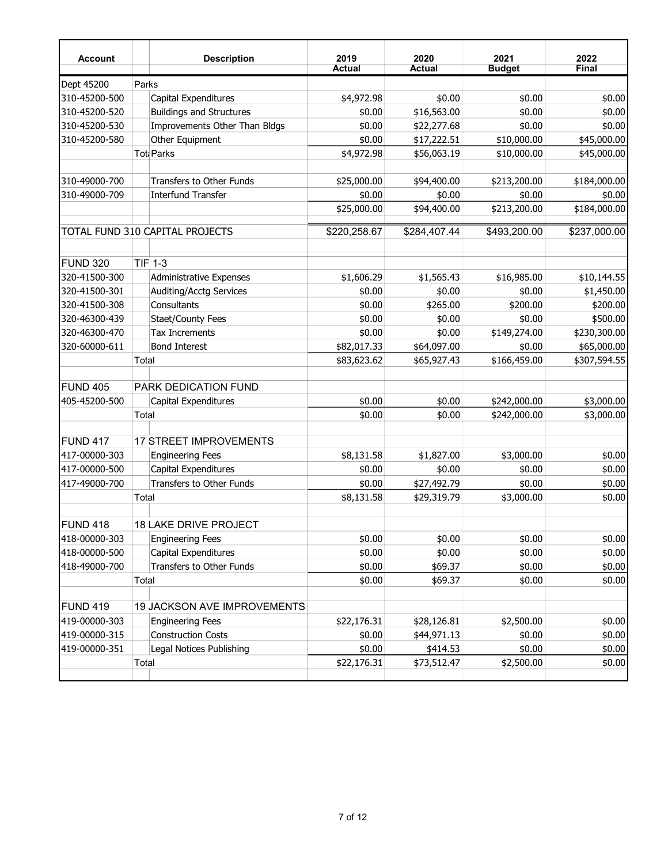| <b>Account</b>  |       | <b>Description</b>                 | 2019<br><b>Actual</b> | 2020<br><b>Actual</b> | 2021<br><b>Budget</b> | 2022<br><b>Final</b> |
|-----------------|-------|------------------------------------|-----------------------|-----------------------|-----------------------|----------------------|
| Dept 45200      | Parks |                                    |                       |                       |                       |                      |
| 310-45200-500   |       | Capital Expenditures               | \$4,972.98            | \$0.00                | \$0.00                | \$0.00               |
| 310-45200-520   |       | <b>Buildings and Structures</b>    | \$0.00                | \$16,563.00           | \$0.00                | \$0.00               |
| 310-45200-530   |       | Improvements Other Than Bldgs      | \$0.00                | \$22,277.68           | \$0.00                | \$0.00               |
| 310-45200-580   |       | Other Equipment                    | \$0.00                | \$17,222.51           | \$10,000.00           | \$45,000.00          |
|                 |       | Tot Parks                          | \$4,972.98            | \$56,063.19           | \$10,000.00           | \$45,000.00          |
| 310-49000-700   |       | <b>Transfers to Other Funds</b>    | \$25,000.00           | \$94,400.00           | \$213,200.00          | \$184,000.00         |
| 310-49000-709   |       | <b>Interfund Transfer</b>          | \$0.00                | \$0.00                | \$0.00                | \$0.00               |
|                 |       |                                    | \$25,000.00           | \$94,400.00           | \$213,200.00          | \$184,000.00         |
|                 |       | TOTAL FUND 310 CAPITAL PROJECTS    | \$220,258.67          | \$284,407.44          | \$493,200.00          | \$237,000.00         |
| FUND 320        |       | <b>TIF 1-3</b>                     |                       |                       |                       |                      |
| 320-41500-300   |       | <b>Administrative Expenses</b>     | \$1,606.29            | \$1,565.43            | \$16,985.00           | \$10,144.55          |
| 320-41500-301   |       | Auditing/Acctg Services            | \$0.00                | \$0.00                | \$0.00                | \$1,450.00           |
| 320-41500-308   |       | Consultants                        | \$0.00                | \$265.00              | \$200.00              | \$200.00             |
| 320-46300-439   |       | Staet/County Fees                  | \$0.00                | \$0.00                | \$0.00                | \$500.00             |
| 320-46300-470   |       | <b>Tax Increments</b>              | \$0.00                | \$0.00                | \$149,274.00          | \$230,300.00         |
| 320-60000-611   |       | <b>Bond Interest</b>               | \$82,017.33           | \$64,097.00           | \$0.00                | \$65,000.00          |
|                 | Total |                                    | \$83,623.62           | \$65,927.43           | \$166,459.00          | \$307,594.55         |
| <b>FUND 405</b> |       | PARK DEDICATION FUND               |                       |                       |                       |                      |
| 405-45200-500   |       | Capital Expenditures               | \$0.00                | \$0.00                | \$242,000.00          | \$3,000.00           |
|                 | Total |                                    | \$0.00                | \$0.00                | \$242,000.00          | \$3,000.00           |
| <b>FUND 417</b> |       | <b>17 STREET IMPROVEMENTS</b>      |                       |                       |                       |                      |
| 417-00000-303   |       | <b>Engineering Fees</b>            | \$8,131.58            | \$1,827.00            | \$3,000.00            | \$0.00               |
| 417-00000-500   |       | Capital Expenditures               | \$0.00                | \$0.00                | \$0.00                | \$0.00               |
| 417-49000-700   |       | Transfers to Other Funds           | \$0.00                | \$27,492.79           | \$0.00                | \$0.00               |
|                 | Total |                                    | \$8,131.58            | \$29,319.79           | \$3,000.00            | \$0.00               |
| FUND 418        |       | <b>18 LAKE DRIVE PROJECT</b>       |                       |                       |                       |                      |
| 418-00000-303   |       | <b>Engineering Fees</b>            | \$0.00                | \$0.00                | \$0.00                | \$0.00               |
| 418-00000-500   |       | Capital Expenditures               | \$0.00                | \$0.00                | \$0.00                | \$0.00               |
| 418-49000-700   |       | Transfers to Other Funds           | \$0.00                | \$69.37               | \$0.00                | \$0.00               |
|                 | Total |                                    | \$0.00                | \$69.37               | \$0.00                | \$0.00               |
| <b>FUND 419</b> |       | <b>19 JACKSON AVE IMPROVEMENTS</b> |                       |                       |                       |                      |
| 419-00000-303   |       | <b>Engineering Fees</b>            | \$22,176.31           | \$28,126.81           | \$2,500.00            | \$0.00               |
| 419-00000-315   |       | <b>Construction Costs</b>          | \$0.00                | \$44,971.13           | \$0.00                | \$0.00               |
| 419-00000-351   |       | Legal Notices Publishing           | \$0.00                | \$414.53              | \$0.00                | \$0.00               |
|                 | Total |                                    | \$22,176.31           | \$73,512.47           | \$2,500.00            | \$0.00               |
|                 |       |                                    |                       |                       |                       |                      |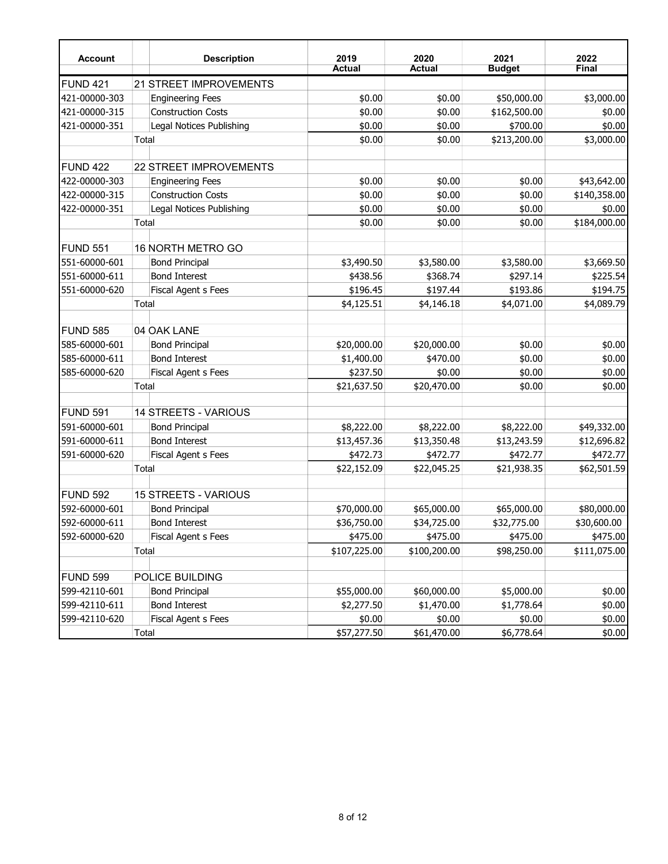| <b>Account</b>  |       | <b>Description</b>          | 2019<br><b>Actual</b> | 2020<br><b>Actual</b> | 2021<br><b>Budget</b> | 2022<br>Final |
|-----------------|-------|-----------------------------|-----------------------|-----------------------|-----------------------|---------------|
| <b>FUND 421</b> |       | 21 STREET IMPROVEMENTS      |                       |                       |                       |               |
| 421-00000-303   |       | <b>Engineering Fees</b>     | \$0.00                | \$0.00                | \$50,000.00           | \$3,000.00    |
| 421-00000-315   |       | <b>Construction Costs</b>   | \$0.00                | \$0.00                | \$162,500.00          | \$0.00        |
| 421-00000-351   |       | Legal Notices Publishing    | \$0.00                | \$0.00                | \$700.00              | \$0.00        |
|                 | Total |                             | \$0.00                | \$0.00                | \$213,200.00          | \$3,000.00    |
|                 |       |                             |                       |                       |                       |               |
| <b>FUND 422</b> |       | 22 STREET IMPROVEMENTS      |                       |                       |                       |               |
| 422-00000-303   |       | <b>Engineering Fees</b>     | \$0.00                | \$0.00                | \$0.00                | \$43,642.00   |
| 422-00000-315   |       | <b>Construction Costs</b>   | \$0.00                | \$0.00                | \$0.00                | \$140,358.00  |
| 422-00000-351   |       | Legal Notices Publishing    | \$0.00                | \$0.00                | \$0.00                | \$0.00        |
|                 | Total |                             | \$0.00                | \$0.00                | \$0.00                | \$184,000.00  |
|                 |       |                             |                       |                       |                       |               |
| <b>FUND 551</b> |       | 16 NORTH METRO GO           |                       |                       |                       |               |
| 551-60000-601   |       | <b>Bond Principal</b>       | \$3,490.50            | \$3,580.00            | \$3,580.00            | \$3,669.50    |
| 551-60000-611   |       | <b>Bond Interest</b>        | \$438.56              | \$368.74              | \$297.14              | \$225.54      |
| 551-60000-620   |       | Fiscal Agent s Fees         | \$196.45              | \$197.44              | \$193.86              | \$194.75      |
|                 | Total |                             | \$4,125.51            | \$4,146.18            | \$4,071.00            | \$4,089.79    |
| <b>FUND 585</b> |       | 04 OAK LANE                 |                       |                       |                       |               |
| 585-60000-601   |       | <b>Bond Principal</b>       | \$20,000.00           | \$20,000.00           | \$0.00                | \$0.00        |
| 585-60000-611   |       | <b>Bond Interest</b>        | \$1,400.00            | \$470.00              | \$0.00                | \$0.00        |
| 585-60000-620   |       | Fiscal Agent s Fees         | \$237.50              | \$0.00                | \$0.00                | \$0.00        |
|                 | Total |                             | \$21,637.50           | \$20,470.00           | \$0.00                | \$0.00        |
|                 |       |                             |                       |                       |                       |               |
| <b>FUND 591</b> |       | 14 STREETS - VARIOUS        |                       |                       |                       |               |
| 591-60000-601   |       | <b>Bond Principal</b>       | \$8,222.00            | \$8,222.00            | \$8,222.00            | \$49,332.00   |
| 591-60000-611   |       | <b>Bond Interest</b>        | \$13,457.36           | \$13,350.48           | \$13,243.59           | \$12,696.82   |
| 591-60000-620   |       | Fiscal Agent s Fees         | \$472.73              | \$472.77              | \$472.77              | \$472.77      |
|                 | Total |                             | \$22,152.09           | \$22,045.25           | \$21,938.35           | \$62,501.59   |
|                 |       |                             |                       |                       |                       |               |
| <b>FUND 592</b> |       | <b>15 STREETS - VARIOUS</b> |                       |                       |                       |               |
| 592-60000-601   |       | <b>Bond Principal</b>       | \$70,000.00           | \$65,000.00           | \$65,000.00           | \$80,000.00   |
| 592-60000-611   |       | <b>Bond Interest</b>        | \$36,750.00           | \$34,725.00           | \$32,775.00           | \$30,600.00   |
| 592-60000-620   |       | Fiscal Agent s Fees         | \$475.00              | \$475.00              | \$475.00              | \$475.00      |
|                 | Total |                             | \$107,225.00          | \$100,200.00          | \$98,250.00           | \$111,075.00  |
|                 |       |                             |                       |                       |                       |               |
| <b>FUND 599</b> |       | POLICE BUILDING             |                       |                       |                       |               |
| 599-42110-601   |       | <b>Bond Principal</b>       | \$55,000.00           | \$60,000.00           | \$5,000.00            | \$0.00        |
| 599-42110-611   |       | <b>Bond Interest</b>        | \$2,277.50            | \$1,470.00            | \$1,778.64            | \$0.00        |
| 599-42110-620   |       | Fiscal Agent s Fees         | \$0.00                | \$0.00                | \$0.00                | \$0.00        |
|                 | Total |                             | \$57,277.50           | \$61,470.00           | \$6,778.64            | \$0.00        |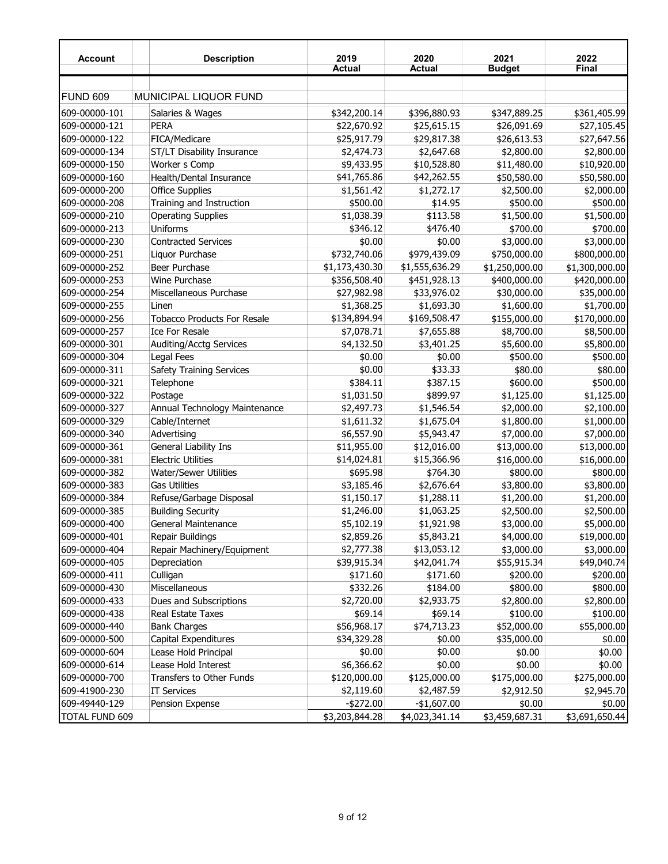| <b>Account</b> | <b>Description</b>                 | 2019<br><b>Actual</b> | 2020<br><b>Actual</b> | 2021<br><b>Budget</b> | 2022<br><b>Final</b> |
|----------------|------------------------------------|-----------------------|-----------------------|-----------------------|----------------------|
|                |                                    |                       |                       |                       |                      |
| FUND 609       | <b>MUNICIPAL LIQUOR FUND</b>       |                       |                       |                       |                      |
| 609-00000-101  | Salaries & Wages                   | \$342,200.14          | \$396,880.93          | \$347,889.25          | \$361,405.99         |
| 609-00000-121  | PERA                               | \$22,670.92           | \$25,615.15           | \$26,091.69           | \$27,105.45          |
| 609-00000-122  | FICA/Medicare                      | \$25,917.79           | \$29,817.38           | \$26,613.53           | \$27,647.56          |
| 609-00000-134  | ST/LT Disability Insurance         | \$2,474.73            | \$2,647.68            | \$2,800.00            | \$2,800.00           |
| 609-00000-150  | Worker s Comp                      | \$9,433.95            | \$10,528.80           | \$11,480.00           | \$10,920.00          |
| 609-00000-160  | Health/Dental Insurance            | \$41,765.86           | \$42,262.55           | \$50,580.00           | \$50,580.00          |
| 609-00000-200  | <b>Office Supplies</b>             | \$1,561.42            | \$1,272.17            | \$2,500.00            | \$2,000.00           |
| 609-00000-208  | Training and Instruction           | \$500.00              | \$14.95               | \$500.00              | \$500.00             |
| 609-00000-210  | <b>Operating Supplies</b>          | \$1,038.39            | \$113.58              | \$1,500.00            | \$1,500.00           |
| 609-00000-213  | Uniforms                           | \$346.12              | \$476.40              | \$700.00              | \$700.00             |
| 609-00000-230  | <b>Contracted Services</b>         | \$0.00                | \$0.00                | \$3,000.00            | \$3,000.00           |
| 609-00000-251  | Liquor Purchase                    | \$732,740.06          | \$979,439.09          | \$750,000.00          | \$800,000.00         |
| 609-00000-252  | Beer Purchase                      | \$1,173,430.30        | \$1,555,636.29        | \$1,250,000.00        | \$1,300,000.00       |
| 609-00000-253  | Wine Purchase                      | \$356,508.40          | \$451,928.13          | \$400,000.00          | \$420,000.00         |
| 609-00000-254  | Miscellaneous Purchase             | \$27,982.98           | \$33,976.02           | \$30,000.00           | \$35,000.00          |
| 609-00000-255  | Linen                              | \$1,368.25            | \$1,693.30            | \$1,600.00            | \$1,700.00           |
| 609-00000-256  | <b>Tobacco Products For Resale</b> | \$134,894.94          | \$169,508.47          | \$155,000.00          | \$170,000.00         |
| 609-00000-257  | <b>Ice For Resale</b>              | \$7,078.71            | \$7,655.88            | \$8,700.00            | \$8,500.00           |
| 609-00000-301  | <b>Auditing/Acctg Services</b>     | \$4,132.50            | \$3,401.25            | \$5,600.00            | \$5,800.00           |
|                |                                    |                       |                       |                       | \$500.00             |
| 609-00000-304  | Legal Fees                         | \$0.00                | \$0.00                | \$500.00              |                      |
| 609-00000-311  | Safety Training Services           | \$0.00                | \$33.33               | \$80.00               | \$80.00              |
| 609-00000-321  | Telephone                          | \$384.11              | \$387.15              | \$600.00              | \$500.00             |
| 609-00000-322  | Postage                            | \$1,031.50            | \$899.97              | \$1,125.00            | \$1,125.00           |
| 609-00000-327  | Annual Technology Maintenance      | \$2,497.73            | \$1,546.54            | \$2,000.00            | \$2,100.00           |
| 609-00000-329  | Cable/Internet                     | \$1,611.32            | \$1,675.04            | \$1,800.00            | \$1,000.00           |
| 609-00000-340  | Advertising                        | \$6,557.90            | \$5,943.47            | \$7,000.00            | \$7,000.00           |
| 609-00000-361  | General Liability Ins              | \$11,955.00           | \$12,016.00           | \$13,000.00           | \$13,000.00          |
| 609-00000-381  | <b>Electric Utilities</b>          | \$14,024.81           | \$15,366.96           | \$16,000.00           | \$16,000.00          |
| 609-00000-382  | <b>Water/Sewer Utilities</b>       | \$695.98              | \$764.30              | \$800.00              | \$800.00             |
| 609-00000-383  | <b>Gas Utilities</b>               | \$3,185.46            | \$2,676.64            | \$3,800.00            | \$3,800.00           |
| 609-00000-384  | Refuse/Garbage Disposal            | \$1,150.17            | \$1,288.11            | \$1,200.00            | \$1,200.00           |
| 609-00000-385  | <b>Building Security</b>           | \$1,246.00            | \$1,063.25            | \$2,500.00            | \$2,500.00           |
| 609-00000-400  | <b>General Maintenance</b>         | \$5,102.19            | \$1,921.98            | \$3,000.00            | \$5,000.00           |
| 609-00000-401  | Repair Buildings                   | \$2,859.26            | \$5,843.21            | \$4,000.00            | \$19,000.00          |
| 609-00000-404  | Repair Machinery/Equipment         | \$2,777.38            | \$13,053.12           | \$3,000.00            | \$3,000.00           |
| 609-00000-405  | Depreciation                       | \$39,915.34           | \$42,041.74           | \$55,915.34           | \$49,040.74          |
| 609-00000-411  | Culligan                           | \$171.60              | \$171.60              | \$200.00              | \$200.00             |
| 609-00000-430  | Miscellaneous                      | \$332.26              | \$184.00              | \$800.00              | \$800.00             |
| 609-00000-433  | Dues and Subscriptions             | \$2,720.00            | \$2,933.75            | \$2,800.00            | \$2,800.00           |
| 609-00000-438  | Real Estate Taxes                  | \$69.14               | \$69.14               | \$100.00              | \$100.00             |
| 609-00000-440  | <b>Bank Charges</b>                | \$56,968.17           | \$74,713.23           | \$52,000.00           | \$55,000.00          |
| 609-00000-500  | Capital Expenditures               | \$34,329.28           | \$0.00                | \$35,000.00           | \$0.00               |
| 609-00000-604  | Lease Hold Principal               | \$0.00                | \$0.00                | \$0.00                | \$0.00               |
| 609-00000-614  | Lease Hold Interest                | \$6,366.62            | \$0.00                | \$0.00                | \$0.00               |
| 609-00000-700  | Transfers to Other Funds           | \$120,000.00          | \$125,000.00          | \$175,000.00          | \$275,000.00         |
| 609-41900-230  | <b>IT Services</b>                 | \$2,119.60            | \$2,487.59            | \$2,912.50            | \$2,945.70           |
| 609-49440-129  | Pension Expense                    | $-$ \$272.00          | $-$1,607.00$          | \$0.00                | \$0.00               |
| TOTAL FUND 609 |                                    | \$3,203,844.28        | \$4,023,341.14        | \$3,459,687.31        | \$3,691,650.44       |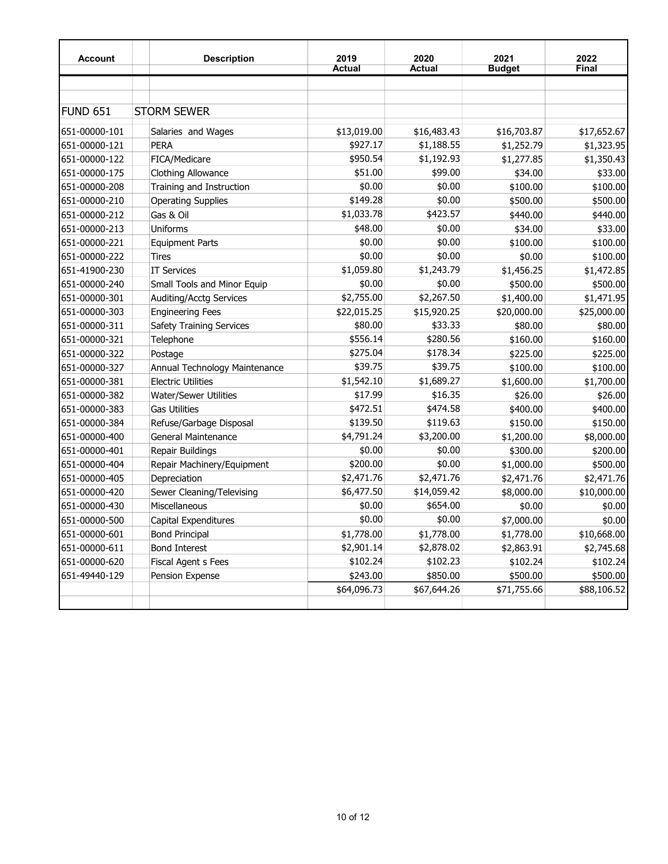| <b>Account</b> | <b>Description</b>              | 2019          | 2020          | 2021          | 2022         |
|----------------|---------------------------------|---------------|---------------|---------------|--------------|
|                |                                 | <b>Actual</b> | <b>Actual</b> | <b>Budget</b> | <b>Final</b> |
|                |                                 |               |               |               |              |
|                |                                 |               |               |               |              |
| FUND 651       | <b>STORM SEWER</b>              |               |               |               |              |
| 651-00000-101  | Salaries and Wages              | \$13,019.00   | \$16,483.43   | \$16,703.87   | \$17,652.67  |
| 651-00000-121  | <b>PERA</b>                     | \$927.17      | \$1,188.55    | \$1,252.79    | \$1,323.95   |
| 651-00000-122  | FICA/Medicare                   | \$950.54      | \$1,192.93    | \$1,277.85    | \$1,350.43   |
| 651-00000-175  | <b>Clothing Allowance</b>       | \$51.00       | \$99.00       | \$34.00       | \$33.00      |
| 651-00000-208  | Training and Instruction        | \$0.00        | \$0.00        | \$100.00      | \$100.00     |
| 651-00000-210  | <b>Operating Supplies</b>       | \$149.28      | \$0.00        | \$500.00      | \$500.00     |
| 651-00000-212  | Gas & Oil                       | \$1,033.78    | \$423.57      | \$440.00      | \$440.00     |
| 651-00000-213  | Uniforms                        | \$48.00       | \$0.00        | \$34.00       | \$33.00      |
| 651-00000-221  | <b>Equipment Parts</b>          | \$0.00        | \$0.00        | \$100.00      | \$100.00     |
| 651-00000-222  | <b>Tires</b>                    | \$0.00        | \$0.00        | \$0.00        | \$100.00     |
| 651-41900-230  | <b>IT Services</b>              | \$1,059.80    | \$1,243.79    | \$1,456.25    | \$1,472.85   |
| 651-00000-240  | Small Tools and Minor Equip     | \$0.00        | \$0.00        | \$500.00      | \$500.00     |
| 651-00000-301  | Auditing/Acctg Services         | \$2,755.00    | \$2,267.50    | \$1,400.00    | \$1,471.95   |
| 651-00000-303  | <b>Engineering Fees</b>         | \$22,015.25   | \$15,920.25   | \$20,000.00   | \$25,000.00  |
| 651-00000-311  | <b>Safety Training Services</b> | \$80.00       | \$33.33       | \$80.00       | \$80.00      |
| 651-00000-321  | Telephone                       | \$556.14      | \$280.56      | \$160.00      | \$160.00     |
| 651-00000-322  | Postage                         | \$275.04      | \$178.34      | \$225.00      | \$225.00     |
| 651-00000-327  | Annual Technology Maintenance   | \$39.75       | \$39.75       | \$100.00      | \$100.00     |
| 651-00000-381  | <b>Electric Utilities</b>       | \$1,542.10    | \$1,689.27    | \$1,600.00    | \$1,700.00   |
| 651-00000-382  | <b>Water/Sewer Utilities</b>    | \$17.99       | \$16.35       | \$26.00       | \$26.00      |
| 651-00000-383  | <b>Gas Utilities</b>            | \$472.51      | \$474.58      | \$400.00      | \$400.00     |
| 651-00000-384  | Refuse/Garbage Disposal         | \$139.50      | \$119.63      | \$150.00      | \$150.00     |
| 651-00000-400  | General Maintenance             | \$4,791.24    | \$3,200.00    | \$1,200.00    | \$8,000.00   |
| 651-00000-401  | Repair Buildings                | \$0.00        | \$0.00        | \$300.00      | \$200.00     |
| 651-00000-404  | Repair Machinery/Equipment      | \$200.00      | \$0.00        | \$1,000.00    | \$500.00     |
| 651-00000-405  | Depreciation                    | \$2,471.76    | \$2,471.76    | \$2,471.76    | \$2,471.76   |
| 651-00000-420  | Sewer Cleaning/Televising       | \$6,477.50    | \$14,059.42   | \$8,000.00    | \$10,000.00  |
| 651-00000-430  | Miscellaneous                   | \$0.00        | \$654.00      | \$0.00        | \$0.00       |
| 651-00000-500  | Capital Expenditures            | \$0.00        | \$0.00        | \$7,000.00    | \$0.00       |
| 651-00000-601  | <b>Bond Principal</b>           | \$1,778.00    | \$1,778.00    | \$1,778.00    | \$10,668.00  |
| 651-00000-611  | <b>Bond Interest</b>            | \$2,901.14    | \$2,878.02    | \$2,863.91    | \$2,745.68   |
| 651-00000-620  | <b>Fiscal Agent s Fees</b>      | \$102.24      | \$102.23      | \$102.24      | \$102.24     |
| 651-49440-129  | Pension Expense                 | \$243.00      | \$850.00      | \$500.00      | \$500.00     |
|                |                                 | \$64,096.73   | \$67,644.26   | \$71,755.66   | \$88,106.52  |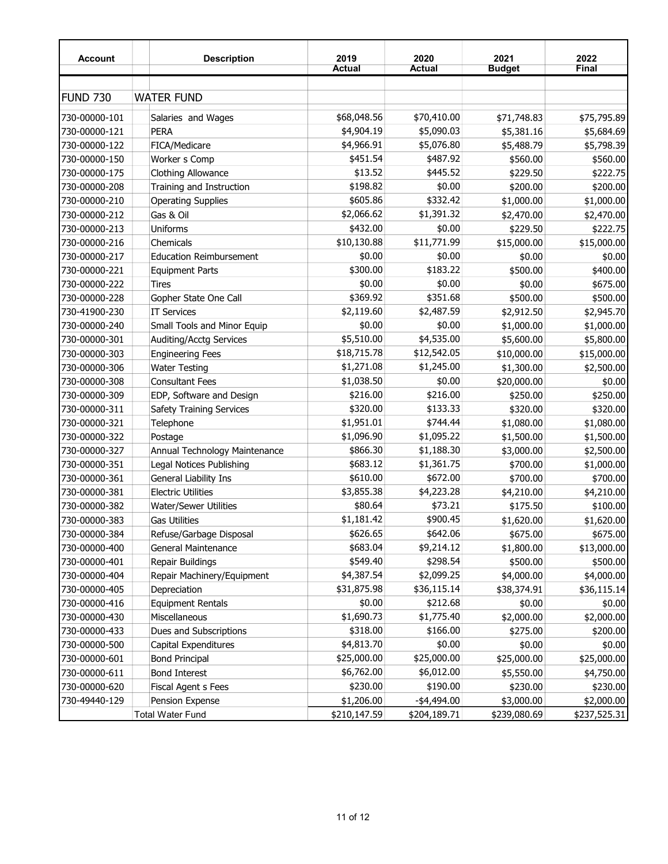| <b>Account</b>  | <b>Description</b>              | 2019<br><b>Actual</b> | 2020<br>Actual | 2021<br><b>Budget</b> | 2022<br><b>Final</b> |
|-----------------|---------------------------------|-----------------------|----------------|-----------------------|----------------------|
|                 |                                 |                       |                |                       |                      |
| <b>FUND 730</b> | <b>WATER FUND</b>               |                       |                |                       |                      |
| 730-00000-101   | Salaries and Wages              | \$68,048.56           | \$70,410.00    | \$71,748.83           | \$75,795.89          |
| 730-00000-121   | <b>PERA</b>                     | \$4,904.19            | \$5,090.03     | \$5,381.16            | \$5,684.69           |
| 730-00000-122   | FICA/Medicare                   | \$4,966.91            | \$5,076.80     | \$5,488.79            | \$5,798.39           |
| 730-00000-150   | Worker s Comp                   | \$451.54              | \$487.92       | \$560.00              | \$560.00             |
| 730-00000-175   | <b>Clothing Allowance</b>       | \$13.52               | \$445.52       | \$229.50              | \$222.75             |
| 730-00000-208   | Training and Instruction        | \$198.82              | \$0.00         | \$200.00              | \$200.00             |
| 730-00000-210   | <b>Operating Supplies</b>       | \$605.86              | \$332.42       | \$1,000.00            | \$1,000.00           |
| 730-00000-212   | Gas & Oil                       | \$2,066.62            | \$1,391.32     | \$2,470.00            | \$2,470.00           |
| 730-00000-213   | Uniforms                        | \$432.00              | \$0.00         | \$229.50              | \$222.75             |
| 730-00000-216   | Chemicals                       | \$10,130.88           | \$11,771.99    | \$15,000.00           | \$15,000.00          |
| 730-00000-217   | <b>Education Reimbursement</b>  | \$0.00                | \$0.00         | \$0.00                | \$0.00               |
| 730-00000-221   | <b>Equipment Parts</b>          | \$300.00              | \$183.22       | \$500.00              | \$400.00             |
| 730-00000-222   | Tires                           | \$0.00                | \$0.00         | \$0.00                | \$675.00             |
| 730-00000-228   | Gopher State One Call           | \$369.92              | \$351.68       | \$500.00              | \$500.00             |
| 730-41900-230   | <b>IT Services</b>              | \$2,119.60            | \$2,487.59     | \$2,912.50            | \$2,945.70           |
| 730-00000-240   | Small Tools and Minor Equip     | \$0.00                | \$0.00         | \$1,000.00            | \$1,000.00           |
| 730-00000-301   | Auditing/Acctg Services         | \$5,510.00            | \$4,535.00     | \$5,600.00            | \$5,800.00           |
| 730-00000-303   | <b>Engineering Fees</b>         | \$18,715.78           | \$12,542.05    | \$10,000.00           | \$15,000.00          |
| 730-00000-306   | <b>Water Testing</b>            | \$1,271.08            | \$1,245.00     | \$1,300.00            | \$2,500.00           |
| 730-00000-308   | <b>Consultant Fees</b>          | \$1,038.50            | \$0.00         | \$20,000.00           | \$0.00               |
| 730-00000-309   | EDP, Software and Design        | \$216.00              | \$216.00       | \$250.00              | \$250.00             |
| 730-00000-311   | <b>Safety Training Services</b> | \$320.00              | \$133.33       | \$320.00              | \$320.00             |
| 730-00000-321   | Telephone                       | \$1,951.01            | \$744.44       | \$1,080.00            | \$1,080.00           |
| 730-00000-322   | Postage                         | \$1,096.90            | \$1,095.22     | \$1,500.00            | \$1,500.00           |
| 730-00000-327   | Annual Technology Maintenance   | \$866.30              | \$1,188.30     | \$3,000.00            | \$2,500.00           |
| 730-00000-351   | Legal Notices Publishing        | \$683.12              | \$1,361.75     | \$700.00              | \$1,000.00           |
| 730-00000-361   | General Liability Ins           | \$610.00              | \$672.00       | \$700.00              | \$700.00             |
| 730-00000-381   | <b>Electric Utilities</b>       | \$3,855.38            | \$4,223.28     | \$4,210.00            | \$4,210.00           |
| 730-00000-382   | <b>Water/Sewer Utilities</b>    | \$80.64               | \$73.21        | \$175.50              | \$100.00             |
| 730-00000-383   | <b>Gas Utilities</b>            | \$1,181.42            | \$900.45       | \$1,620.00            | \$1,620.00           |
| 730-00000-384   | Refuse/Garbage Disposal         | \$626.65              | \$642.06       | \$675.00              | \$675.00             |
| 730-00000-400   | General Maintenance             | \$683.04              | \$9,214.12     | \$1,800.00            | \$13,000.00          |
| 730-00000-401   | Repair Buildings                | \$549.40              | \$298.54       | \$500.00              | \$500.00             |
| 730-00000-404   | Repair Machinery/Equipment      | \$4,387.54            | \$2,099.25     | \$4,000.00            | \$4,000.00           |
| 730-00000-405   | Depreciation                    | \$31,875.98           | \$36,115.14    | \$38,374.91           | \$36,115.14          |
| 730-00000-416   | <b>Equipment Rentals</b>        | \$0.00                | \$212.68       | \$0.00                | \$0.00               |
| 730-00000-430   | Miscellaneous                   | \$1,690.73            | \$1,775.40     | \$2,000.00            | \$2,000.00           |
| 730-00000-433   | Dues and Subscriptions          | \$318.00              | \$166.00       | \$275.00              | \$200.00             |
| 730-00000-500   | Capital Expenditures            | \$4,813.70            | \$0.00         | \$0.00                | \$0.00               |
| 730-00000-601   | <b>Bond Principal</b>           | \$25,000.00           | \$25,000.00    | \$25,000.00           | \$25,000.00          |
| 730-00000-611   | <b>Bond Interest</b>            | \$6,762.00            | \$6,012.00     | \$5,550.00            | \$4,750.00           |
| 730-00000-620   | Fiscal Agent s Fees             | \$230.00              | \$190.00       | \$230.00              | \$230.00             |
| 730-49440-129   | Pension Expense                 | \$1,206.00            | $-$ \$4,494.00 | \$3,000.00            | \$2,000.00           |
|                 | <b>Total Water Fund</b>         | \$210,147.59          | \$204,189.71   | \$239,080.69          | \$237,525.31         |